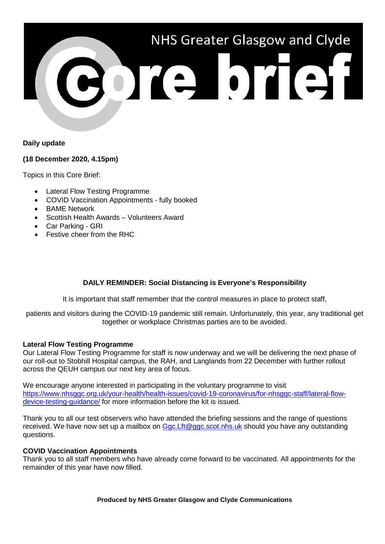

## **Daily update**

### **(18 December 2020, 4.15pm)**

Topics in this Core Brief:

- Lateral Flow Testing Programme
- COVID Vaccination Appointments fully booked
- **BAME Network**
- Scottish Health Awards Volunteers Award
- Car Parking GRI
- Festive cheer from the RHC

# **DAILY REMINDER: Social Distancing is Everyone's Responsibility**

It is important that staff remember that the control measures in place to protect staff,

patients and visitors during the COVID-19 pandemic still remain. Unfortunately, this year, any traditional get together or workplace Christmas parties are to be avoided.

### **Lateral Flow Testing Programme**

Our Lateral Flow Testing Programme for staff is now underway and we will be delivering the next phase of our roll-out to Stobhill Hospital campus, the RAH, and Langlands from 22 December with further rollout across the QEUH campus our next key area of focus.

We encourage anyone interested in participating in the voluntary programme to visit [https://www.nhsggc.org.uk/your-health/health-issues/covid-19-coronavirus/for-nhsggc-staff/lateral-flow](https://www.nhsggc.org.uk/your-health/health-issues/covid-19-coronavirus/for-nhsggc-staff/lateral-flow-device-testing-guidance/)[device-testing-guidance/](https://www.nhsggc.org.uk/your-health/health-issues/covid-19-coronavirus/for-nhsggc-staff/lateral-flow-device-testing-guidance/) for more information before the kit is issued.

Thank you to all our test observers who have attended the briefing sessions and the range of questions received. We have now set up a mailbox on [Ggc.Lft@ggc.scot.nhs.uk](mailto:Ggc.Lft@ggc.scot.nhs.uk) should you have any outstanding questions.

### **COVID Vaccination Appointments**

Thank you to all staff members who have already come forward to be vaccinated. All appointments for the remainder of this year have now filled.

**Produced by NHS Greater Glasgow and Clyde Communications**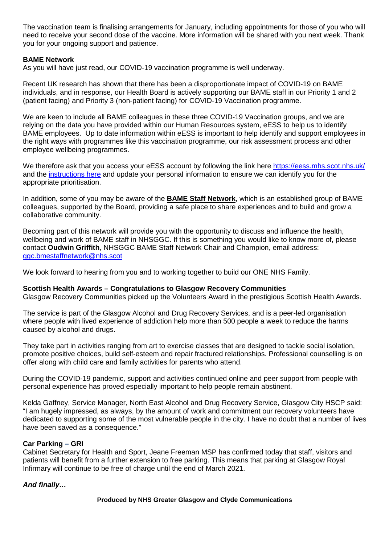The vaccination team is finalising arrangements for January, including appointments for those of you who will need to receive your second dose of the vaccine. More information will be shared with you next week. Thank you for your ongoing support and patience.

### **BAME Network**

As you will have just read, our COVID-19 vaccination programme is well underway.

Recent UK research has shown that there has been a disproportionate impact of COVID-19 on BAME individuals, and in response, our Health Board is actively supporting our BAME staff in our Priority 1 and 2 (patient facing) and Priority 3 (non-patient facing) for COVID-19 Vaccination programme.

We are keen to include all BAME colleagues in these three COVID-19 Vaccination groups, and we are relying on the data you have provided within our Human Resources system, eESS to help us to identify BAME employees. Up to date information within eESS is important to help identify and support employees in the right ways with programmes like this vaccination programme, our risk assessment process and other employee wellbeing programmes.

We therefore ask that you access your eESS account by following the link here <https://eess.mhs.scot.nhs.uk/> and the [instructions here](https://www.eess.nhs.scot/ess/) and update your personal information to ensure we can identify you for the appropriate prioritisation.

In addition, some of you may be aware of the **BAME Staff Network**, which is an established group of BAME colleagues, supported by the Board, providing a safe place to share experiences and to build and grow a collaborative community.

Becoming part of this network will provide you with the opportunity to discuss and influence the health, wellbeing and work of BAME staff in NHSGGC. If this is something you would like to know more of, please contact **Oudwin Griffith**, NHSGGC BAME Staff Network Chair and Champion, email address: [ggc.bmestaffnetwork@nhs.scot](mailto:ggc.bmestaffnetwork@nhs.scot)

We look forward to hearing from you and to working together to build our ONE NHS Family.

#### **Scottish Health Awards – Congratulations to Glasgow Recovery Communities**

Glasgow Recovery Communities picked up the Volunteers Award in the prestigious Scottish Health Awards.

The service is part of the Glasgow Alcohol and Drug Recovery Services, and is a peer-led organisation where people with lived experience of addiction help more than 500 people a week to reduce the harms caused by alcohol and drugs.

They take part in activities ranging from art to exercise classes that are designed to tackle social isolation, promote positive choices, build self-esteem and repair fractured relationships. Professional counselling is on offer along with child care and family activities for parents who attend.

During the COVID-19 pandemic, support and activities continued online and peer support from people with personal experience has proved especially important to help people remain abstinent.

Kelda Gaffney, Service Manager, North East Alcohol and Drug Recovery Service, Glasgow City HSCP said: "I am hugely impressed, as always, by the amount of work and commitment our recovery volunteers have dedicated to supporting some of the most vulnerable people in the city. I have no doubt that a number of lives have been saved as a consequence."

### **Car Parking – GRI**

Cabinet Secretary for Health and Sport, Jeane Freeman MSP has confirmed today that staff, visitors and patients will benefit from a further extension to free parking. This means that parking at Glasgow Royal Infirmary will continue to be free of charge until the end of March 2021.

### *And finally…*

**Produced by NHS Greater Glasgow and Clyde Communications**